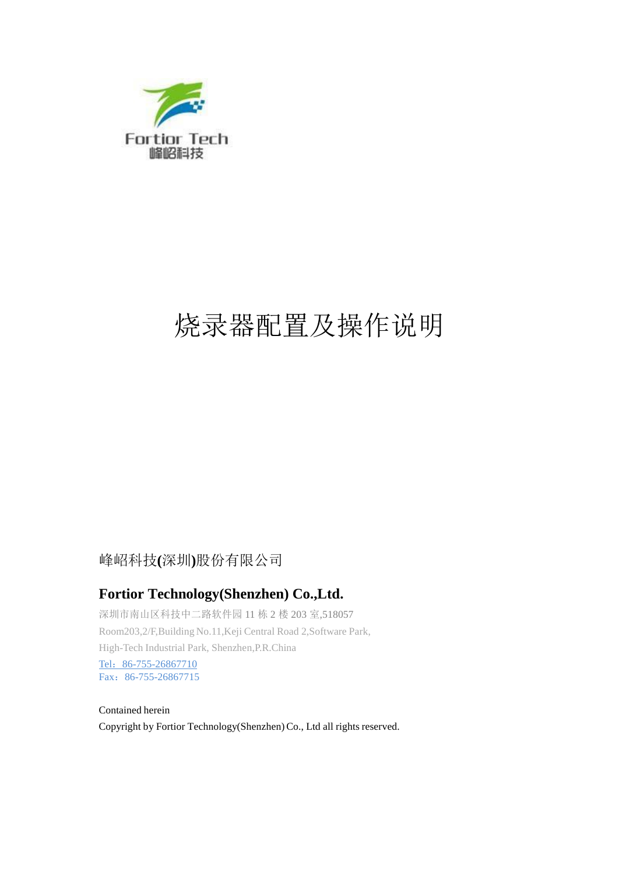

# 烧录器配置及操作说明

#### 峰岹科技**(**深圳**)**股份有限公司

#### **Fortior Technology(Shenzhen) Co.,Ltd.**

深圳市南山区科技中二路软件园 11 栋 2 楼 203 室,518057 Room203,2/F,Building No.11,Keji Central Road 2,Software Park, High-Tech Industrial Park, Shenzhen,P.R.China Tel: 86-755-26867710 Fax:86-755-26867715

Contained herein Copyright by Fortior Technology(Shenzhen)Co., Ltd all rights reserved.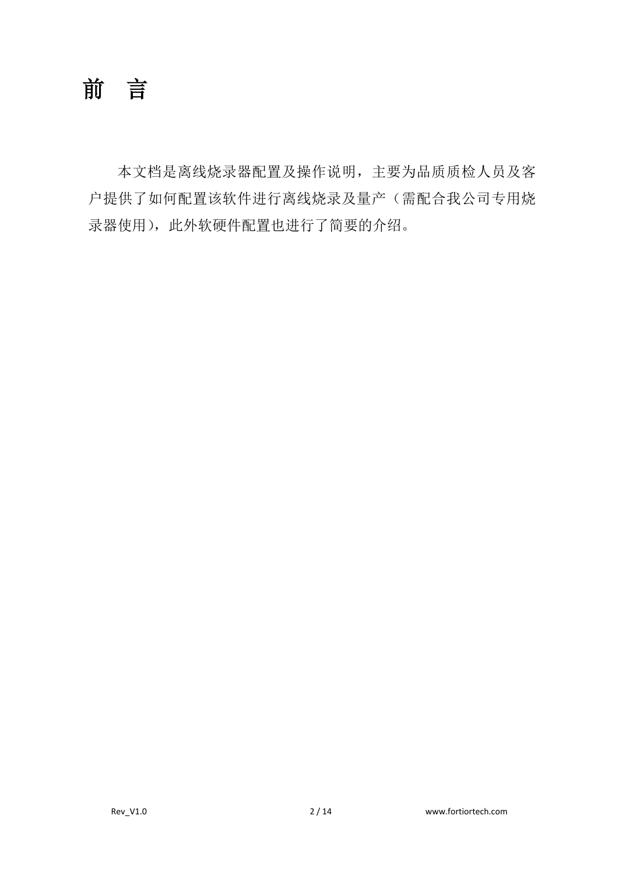前言

本文档是离线烧录器配置及操作说明,主要为品质质检人员及客 户提供了如何配置该软件进行离线烧录及量产(需配合我公司专用烧 录器使用), 此外软硬件配置也进行了简要的介绍。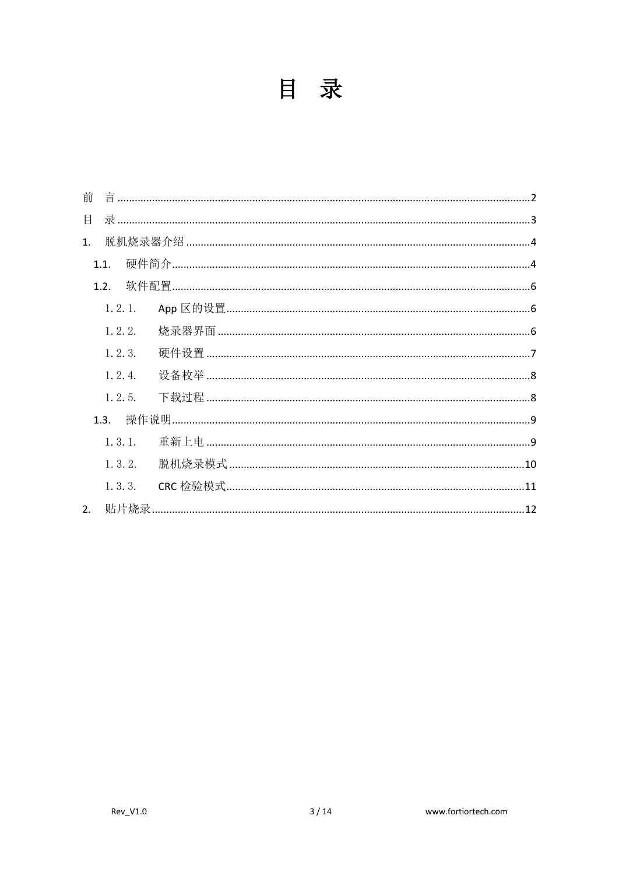| м<br>少 |
|--------|
|        |

| 前  |          |                                           |  |
|----|----------|-------------------------------------------|--|
| 目  |          |                                           |  |
| 1. |          |                                           |  |
|    | 1.1      |                                           |  |
|    | 1.2.     |                                           |  |
|    | 1, 2, 1, |                                           |  |
|    | 1, 2, 2. |                                           |  |
|    | 1, 2, 3. |                                           |  |
|    | 1, 2, 4. |                                           |  |
|    | 1, 2, 5. |                                           |  |
|    | 1.3      |                                           |  |
|    | 1, 3, 1. |                                           |  |
|    | 1, 3, 2. | 脱机烧录模式………………………………………………………………………………………10 |  |
|    | 1, 3, 3. |                                           |  |
| 2. |          |                                           |  |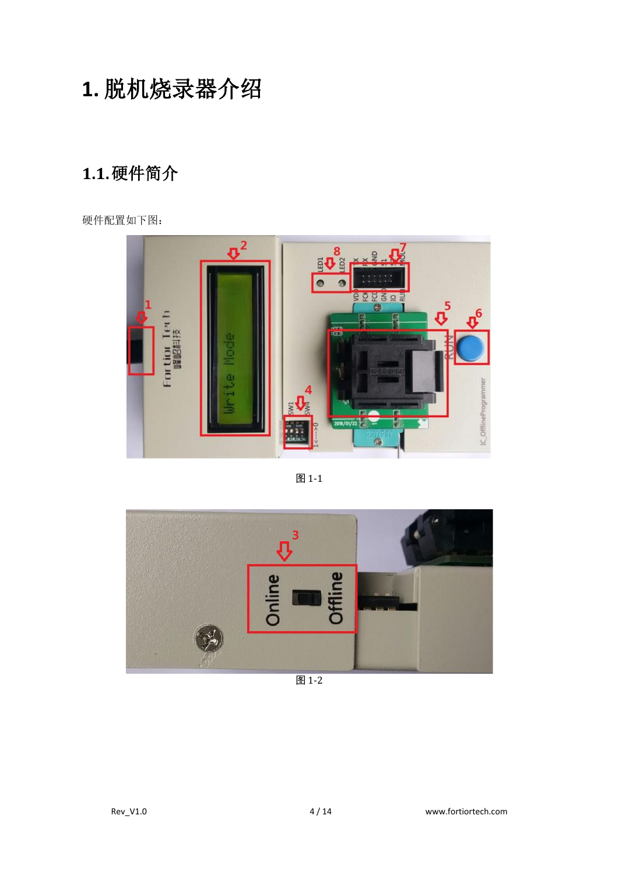## **1.** 脱机烧录器介绍

## **1.1.**硬件简介

硬件配置如下图:



图 1-1



图 1-2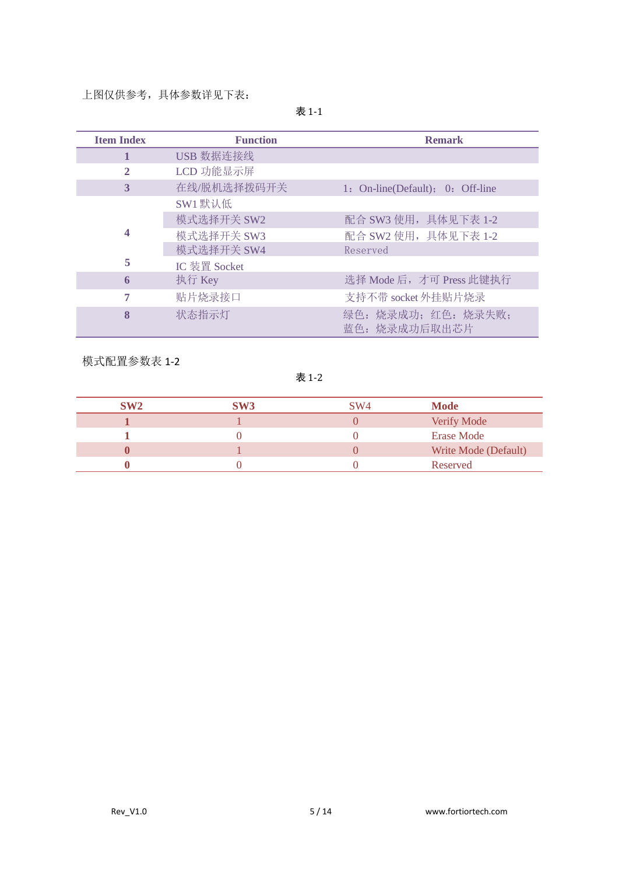上图仅供参考,具体参数详见下表:

|--|--|--|

| <b>Item Index</b> | <b>Function</b> | <b>Remark</b>                    |
|-------------------|-----------------|----------------------------------|
| 1                 | USB 数据连接线       |                                  |
| 2                 | LCD 功能显示屏       |                                  |
| 3                 | 在线/脱机选择拨码开关     | 1: On-line(Default); 0: Off-line |
|                   | SW1 默认低         |                                  |
|                   | 模式选择开关 SW2      | 配合 SW3 使用, 具体见下表 1-2             |
| 4                 | 模式选择开关 SW3      | 配合 SW2 使用, 具体见下表 1-2             |
|                   | 模式选择开关 SW4      | Reserved                         |
| 5                 | IC 装置 Socket    |                                  |
| 6                 | 执行 Key          | 选择 Mode 后, 才可 Press 此键执行         |
| 7                 | 贴片烧录接口          | 支持不带 socket 外挂贴片烧录               |
| 8                 | 状态指示灯           | 绿色:烧录成功;红色:烧录失败;<br>蓝色:烧录成功后取出芯片 |

模式配置参数表 1-2

表 1-2

| <b>SW2</b> | SW3 | SW <sub>4</sub> | <b>Mode</b>          |
|------------|-----|-----------------|----------------------|
|            |     |                 | Verify Mode          |
|            |     |                 | <b>Erase Mode</b>    |
|            |     |                 | Write Mode (Default) |
|            |     |                 | Reserved             |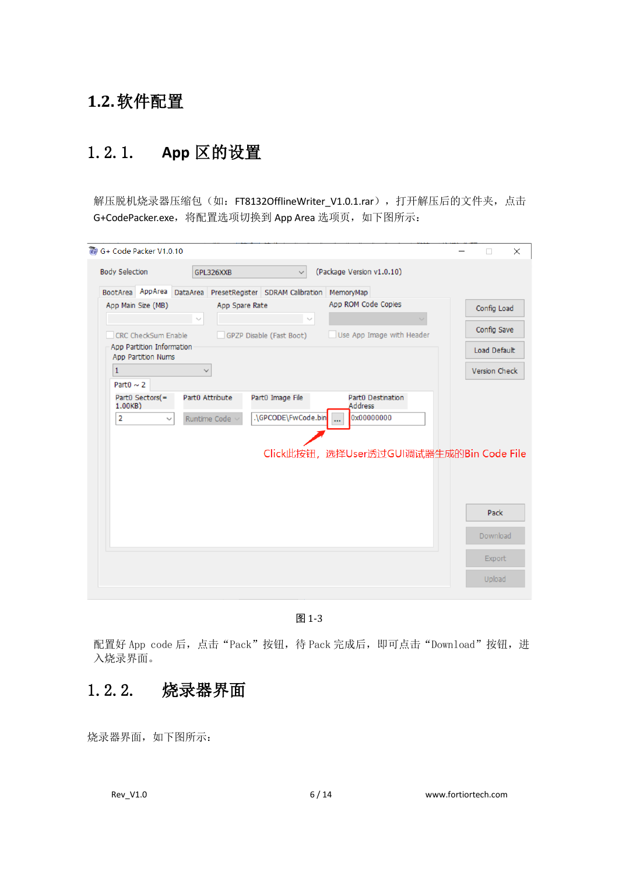#### **1.2.**软件配置

#### 1.2.1. **App** 区的设置

解压脱机烧录器压缩包(如: FT8132OfflineWriter\_V1.0.1.rar),打开解压后的文件夹,点击 G+CodePacker.exe, 将配置选项切换到 App Area 选项页, 如下图所示:

| G+ Code Packer V1.0.10 |                                                 |                 |                     |                                                                      |              |                                          | П             | $\times$ |
|------------------------|-------------------------------------------------|-----------------|---------------------|----------------------------------------------------------------------|--------------|------------------------------------------|---------------|----------|
| <b>Body Selection</b>  |                                                 |                 | GPL326XXB           | $\checkmark$                                                         |              | (Package Version v1.0.10)                |               |          |
|                        |                                                 |                 |                     | BootArea AppArea DataArea PresetRegister SDRAM Calibration MemoryMap |              |                                          |               |          |
|                        | App Main Size (MB)                              |                 | App Spare Rate      |                                                                      |              | App ROM Code Copies                      | Config Load   |          |
|                        |                                                 | $\sim$          |                     |                                                                      | $\checkmark$ |                                          |               |          |
|                        | CRC CheckSum Enable                             |                 |                     | GPZP Disable (Fast Boot)                                             |              | Use App Image with Header                | Config Save   |          |
|                        | App Partition Information<br>App Partition Nums |                 |                     |                                                                      |              |                                          | Load Default  |          |
| $\mathbf{1}$           |                                                 |                 |                     |                                                                      |              |                                          | Version Check |          |
| Part $0 \sim 2$        |                                                 |                 |                     |                                                                      |              |                                          |               |          |
| 1.00KB)                | Part0 Sectors(=                                 | Part0 Attribute |                     | Part0 Image File                                                     |              | Part0 Destination<br><b>Address</b>      |               |          |
| $\overline{2}$         | $\checkmark$                                    |                 | Runtime Code $\vee$ | .\GPCODE\FwCode.bin                                                  |              | 0x00000000<br>$\cdots$                   |               |          |
|                        |                                                 |                 |                     |                                                                      |              | Click此按钮, 选择User透过GUI调试器生成的Bin Code File |               |          |
|                        |                                                 |                 |                     |                                                                      |              |                                          | Pack          |          |
|                        |                                                 |                 |                     |                                                                      |              |                                          | Download      |          |
|                        |                                                 |                 |                     |                                                                      |              |                                          | Export        |          |
|                        |                                                 |                 |                     |                                                                      |              |                                          | Upload        |          |

图 1-3

配置好 App code 后,点击"Pack"按钮,待 Pack 完成后,即可点击"Download"按钮,进 入烧录界面。

#### 1.2.2. 烧录器界面

烧录器界面,如下图所示: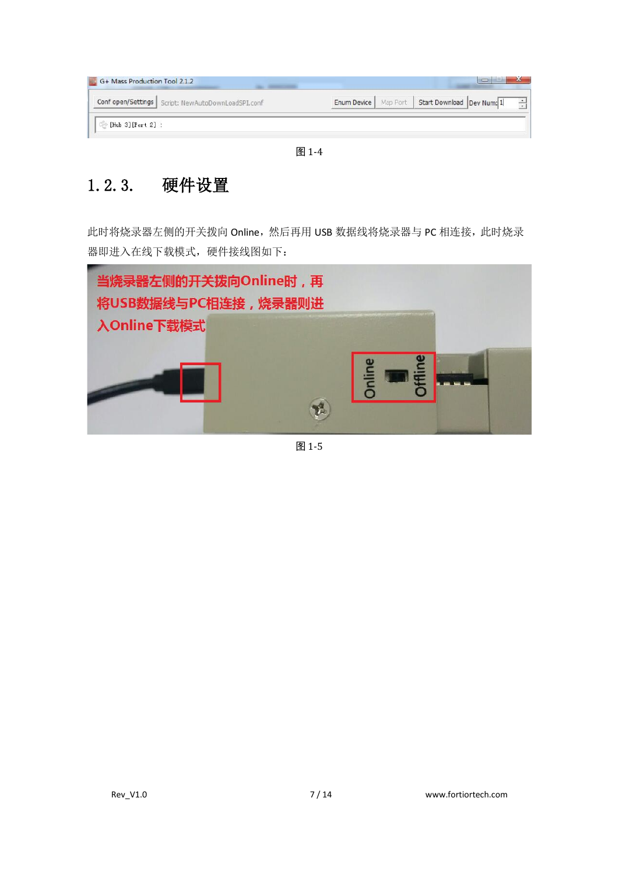| Conf open/Settings   Script: NewAutoDownLoadSPI.conf |  |  | Enum Device   Map Port   Start Download   Dev Num: 1 |  |
|------------------------------------------------------|--|--|------------------------------------------------------|--|
|------------------------------------------------------|--|--|------------------------------------------------------|--|

图 1-4

## 1.2.3. 硬件设置

此时将烧录器左侧的开关拨向 Online,然后再用 USB 数据线将烧录器与 PC 相连接, 此时烧录 器即进入在线下载模式,硬件接线图如下:



图 1-5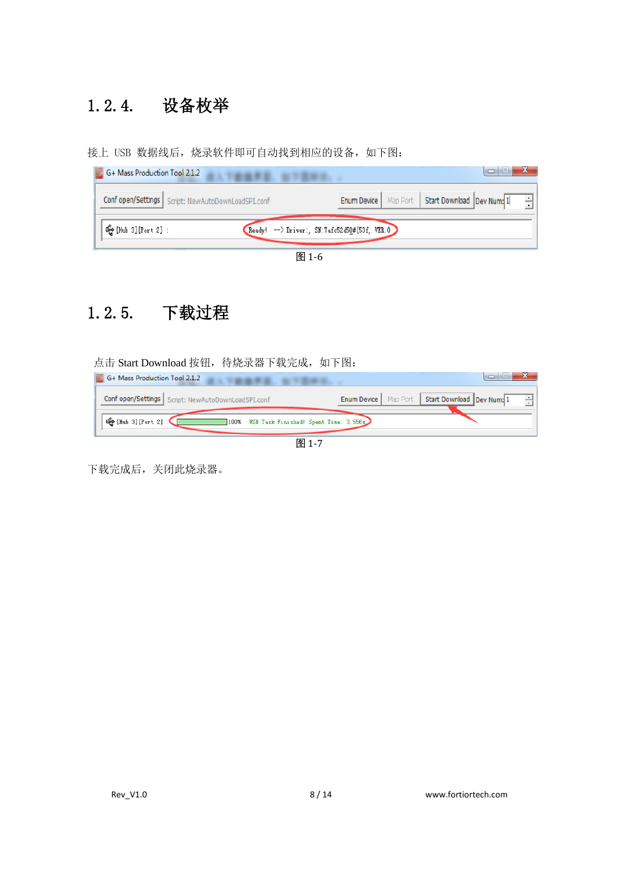## 1.2.4. 设备枚举

接上 USB 数据线后,烧录软件即可自动找到相应的设备,如下图:

| G+ Mass Production Tool 2.1.2<br>人下的痛苦症, 如下图中央       | $\Box$<br>19.                                                  |
|------------------------------------------------------|----------------------------------------------------------------|
| Conf open/Settings   Script: NewAutoDownLoadSPI.conf | Enum Device   Map Port   Start Download   Dev Num: 1           |
| ι⊕ [Hub 3][Port 2]:                                  | $\overline{\text{Ready}}$ -> Driver:, SN:7afc52d50#{53f, VER:0 |
|                                                      | 图 1.6                                                          |



## 1.2.5. 下载过程

点击 Start Download 按钮, 待烧录器下载完成, 如下图:

| G+ Mass Production Tool 2.1.2<br>THE R. P. L. L. L. L. L.                 | $-1$<br>$\Box$                                       |
|---------------------------------------------------------------------------|------------------------------------------------------|
| Conf open/Settings   Script: NewAutoDownLoadSPI.conf                      | Enum Device   Map Port   Start Download   Dev Num: 1 |
| <b>G</b> [Hub 3][Port 2]<br>USB Task Finished! Spent Time: 3.556s<br>100% |                                                      |
| 图 1-7                                                                     |                                                      |

下载完成后,关闭此烧录器。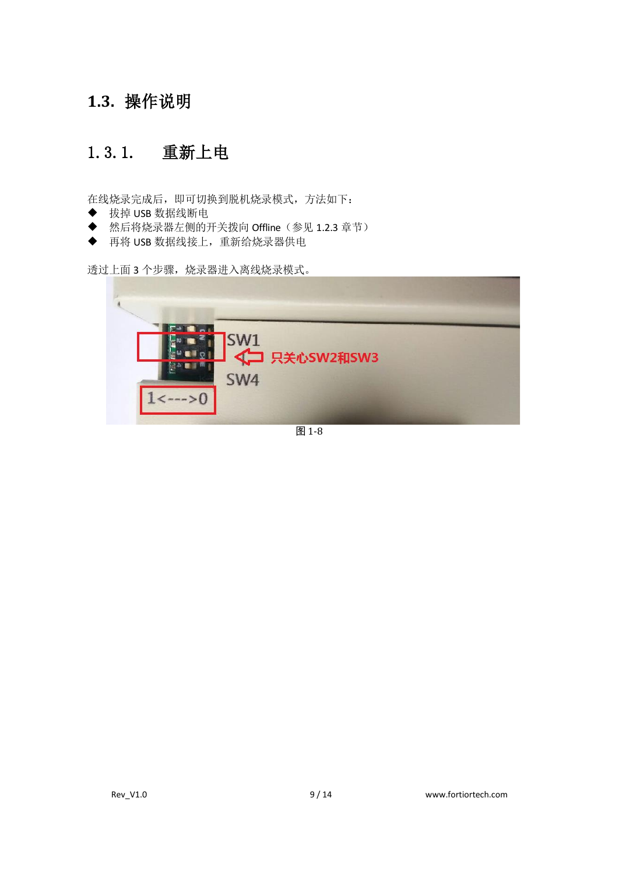#### **1.3.** 操作说明

#### 1.3.1. 重新上电

在线烧录完成后,即可切换到脱机烧录模式,方法如下:

- ◆ 拔掉 USB 数据线断电
- ◆ 然后将烧录器左侧的开关拨向 Offline(参见 1.2.3 章节)
- ◆ 再将 USB 数据线接上,重新给烧录器供电

透过上面 3 个步骤,烧录器进入离线烧录模式。



图 1-8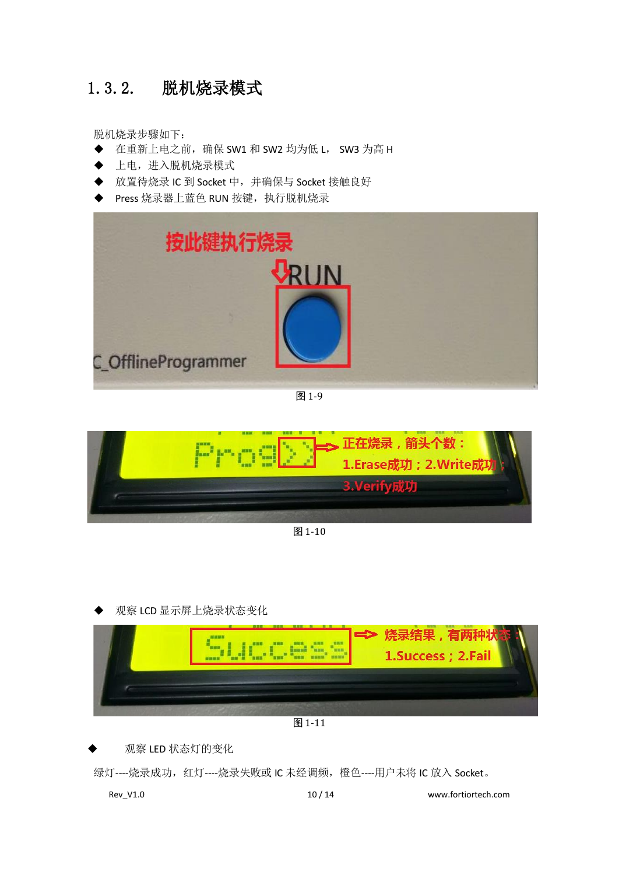#### 1.3.2. 脱机烧录模式

脱机烧录步骤如下:

- ◆ 在重新上电之前,确保 SW1 和 SW2 均为低 L, SW3 为高 H
- 上电,进入脱机烧录模式
- ◆ 放置待烧录 IC 到 Socket 中, 并确保与 Socket 接触良好
- ◆ Press 烧录器上蓝色 RUN 按键, 执行脱机烧录



图 1-9



图 1-10

观察 LCD 显示屏上烧录状态变化



图 1-11

观察 LED 状态灯的变化

绿灯----烧录成功,红灯----烧录失败或 IC 未经调频,橙色----用户未将 IC 放入 Socket。

Rev\_V1.0 10 / 14 www.fortiortech.com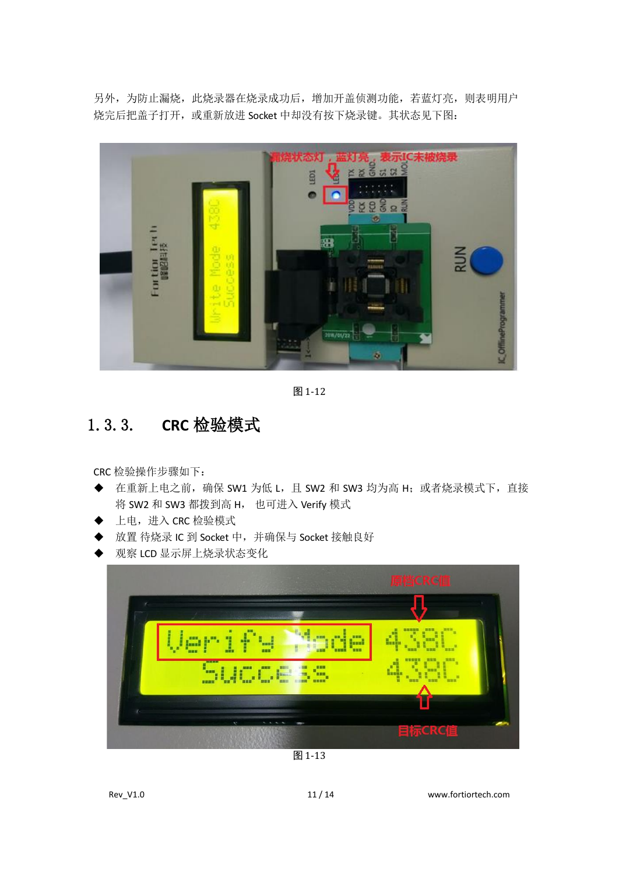另外,为防止漏烧,此烧录器在烧录成功后,增加开盖侦测功能,若蓝灯亮,则表明用户 烧完后把盖子打开,或重新放进 Socket 中却没有按下烧录键。其状态见下图:



图 1-12

#### 1.3.3. **CRC** 检验模式

CRC 检验操作步骤如下:

- ◆ 在重新上电之前, 确保 SW1 为低 L, 且 SW2 和 SW3 均为高 H; 或者烧录模式下, 直接 将 SW2 和 SW3 都拨到高 H, 也可进入 Verify 模式
- ◆ 上电,进入 CRC 检验模式
- ◆ 放置 待烧录 IC 到 Socket 中,并确保与 Socket 接触良好
- 观察 LCD 显示屏上烧录状态变化



图 1-13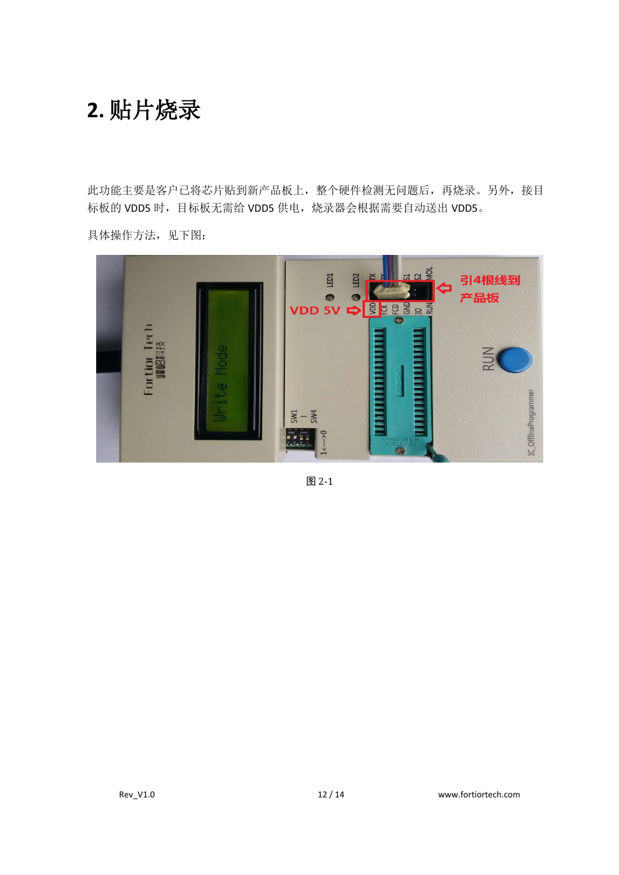## **2.** 贴片烧录

此功能主要是客户已将芯片贴到新产品板上,整个硬件检测无问题后,再烧录。另外,接目 标板的 VDD5 时, 目标板无需给 VDD5 供电, 烧录器会根据需要自动送出 VDD5。



具体操作方法,见下图:

图 2-1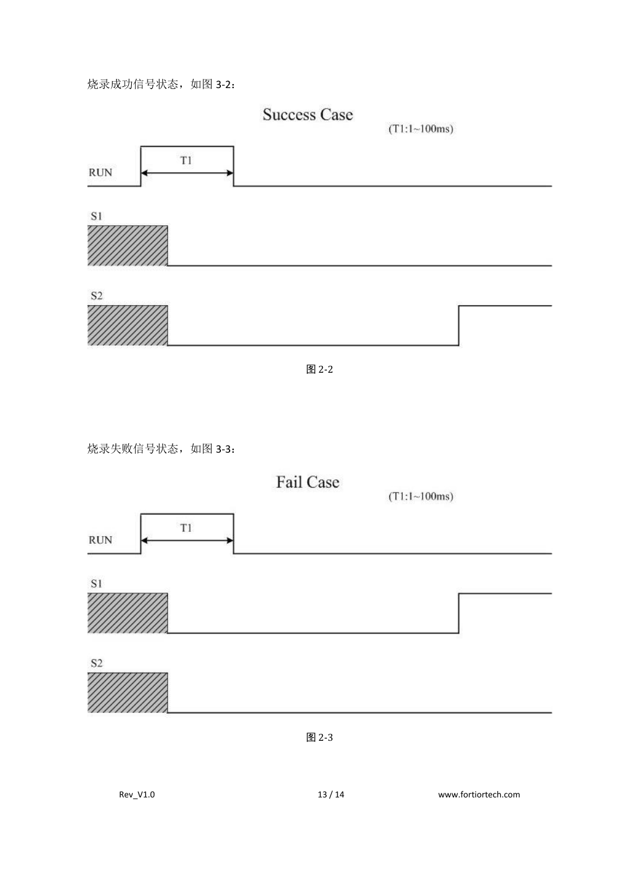#### 烧录成功信号状态,如图 3-2:



图 2-3